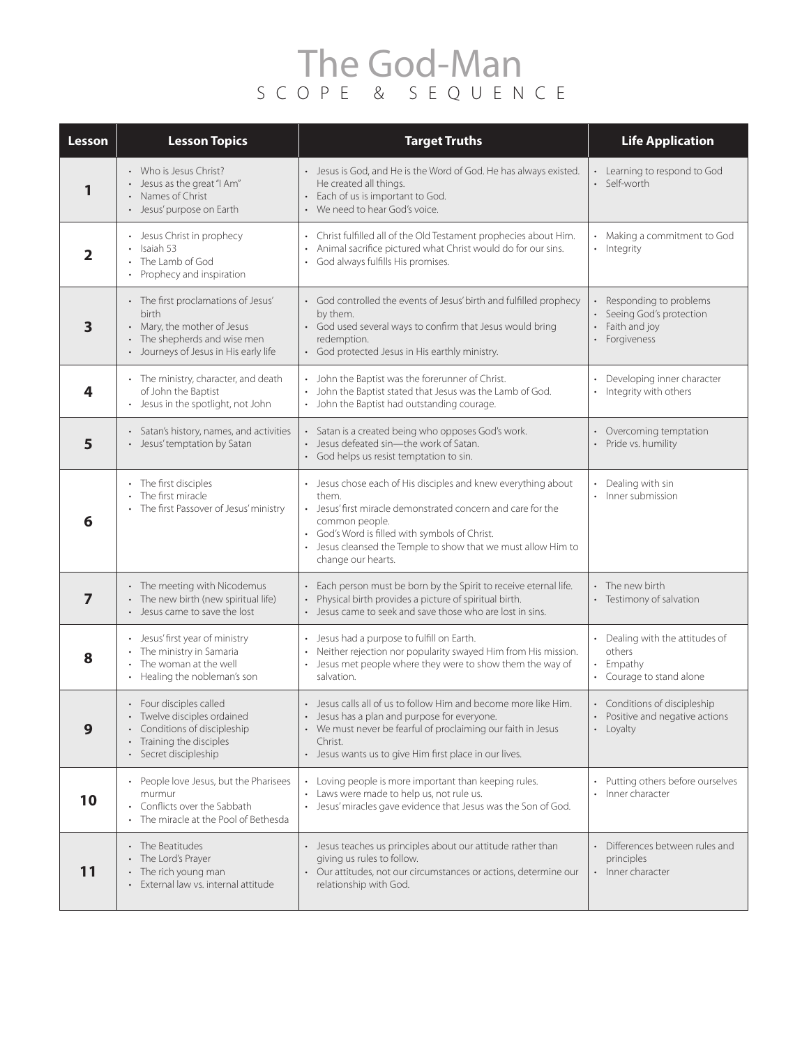## The God-Man SCOPE & SEQUENCE

| Lesson         | <b>Lesson Topics</b>                                                                                                                             | <b>Target Truths</b>                                                                                                                                                                                                                                                                            | <b>Life Application</b>                                                                 |
|----------------|--------------------------------------------------------------------------------------------------------------------------------------------------|-------------------------------------------------------------------------------------------------------------------------------------------------------------------------------------------------------------------------------------------------------------------------------------------------|-----------------------------------------------------------------------------------------|
| 1              | • Who is Jesus Christ?<br>• Jesus as the great "I Am"<br>Names of Christ<br>Jesus' purpose on Earth                                              | • Jesus is God, and He is the Word of God. He has always existed.<br>He created all things.<br>· Each of us is important to God.<br>• We need to hear God's voice.                                                                                                                              | Learning to respond to God<br>• Self-worth                                              |
| $\mathbf{2}$   | • Jesus Christ in prophecy<br>Isaiah 53<br>The Lamb of God<br>Prophecy and inspiration                                                           | • Christ fulfilled all of the Old Testament prophecies about Him.<br>Animal sacrifice pictured what Christ would do for our sins.<br>• God always fulfills His promises.                                                                                                                        | Making a commitment to God<br>• Integrity                                               |
| 3              | • The first proclamations of Jesus'<br>birth<br>• Mary, the mother of Jesus<br>The shepherds and wise men<br>Journeys of Jesus in His early life | • God controlled the events of Jesus' birth and fulfilled prophecy<br>by them.<br>• God used several ways to confirm that Jesus would bring<br>redemption.<br>• God protected Jesus in His earthly ministry.                                                                                    | • Responding to problems<br>Seeing God's protection<br>• Faith and joy<br>• Forgiveness |
| 4              | • The ministry, character, and death<br>of John the Baptist<br>Jesus in the spotlight, not John                                                  | • John the Baptist was the forerunner of Christ.<br>John the Baptist stated that Jesus was the Lamb of God.<br>• John the Baptist had outstanding courage.                                                                                                                                      | Developing inner character<br>• Integrity with others                                   |
| 5              | • Satan's history, names, and activities<br>• Jesus' temptation by Satan                                                                         | · Satan is a created being who opposes God's work.<br>• Jesus defeated sin-the work of Satan.<br>• God helps us resist temptation to sin.                                                                                                                                                       | Overcoming temptation<br>• Pride vs. humility                                           |
| 6              | • The first disciples<br>The first miracle<br>• The first Passover of Jesus' ministry                                                            | • Jesus chose each of His disciples and knew everything about<br>them.<br>• Jesus' first miracle demonstrated concern and care for the<br>common people.<br>• God's Word is filled with symbols of Christ.<br>Jesus cleansed the Temple to show that we must allow Him to<br>change our hearts. | Dealing with sin<br>Inner submission                                                    |
| $\overline{7}$ | • The meeting with Nicodemus<br>The new birth (new spiritual life)<br>• Jesus came to save the lost                                              | · Each person must be born by the Spirit to receive eternal life.<br>Physical birth provides a picture of spiritual birth.<br>• Jesus came to seek and save those who are lost in sins.                                                                                                         | • The new birth<br>Testimony of salvation                                               |
| 8              | Jesus' first year of ministry<br>The ministry in Samaria<br>The woman at the well<br>Healing the nobleman's son<br>$\bullet$                     | Jesus had a purpose to fulfill on Earth.<br>• Neither rejection nor popularity swayed Him from His mission.<br>• Jesus met people where they were to show them the way of<br>salvation.                                                                                                         | Dealing with the attitudes of<br>others<br>Empathy<br>• Courage to stand alone          |
| 9              | • Four disciples called<br>Twelve disciples ordained<br>Conditions of discipleship<br>Training the disciples<br>Secret discipleship              | • Jesus calls all of us to follow Him and become more like Him.<br>• Jesus has a plan and purpose for everyone.<br>• We must never be fearful of proclaiming our faith in Jesus<br>Christ.<br>• Jesus wants us to give Him first place in our lives.                                            | • Conditions of discipleship<br>Positive and negative actions<br>• Loyalty              |
| 10             | People love Jesus, but the Pharisees<br>murmur<br>Conflicts over the Sabbath<br>The miracle at the Pool of Bethesda                              | • Loving people is more important than keeping rules.<br>• Laws were made to help us, not rule us.<br>· Jesus' miracles gave evidence that Jesus was the Son of God.                                                                                                                            | Putting others before ourselves<br>· Inner character                                    |
| 11             | The Beatitudes<br>The Lord's Prayer<br>The rich young man<br>External law vs. internal attitude                                                  | • Jesus teaches us principles about our attitude rather than<br>giving us rules to follow.<br>• Our attitudes, not our circumstances or actions, determine our<br>relationship with God.                                                                                                        | Differences between rules and<br>principles<br>• Inner character                        |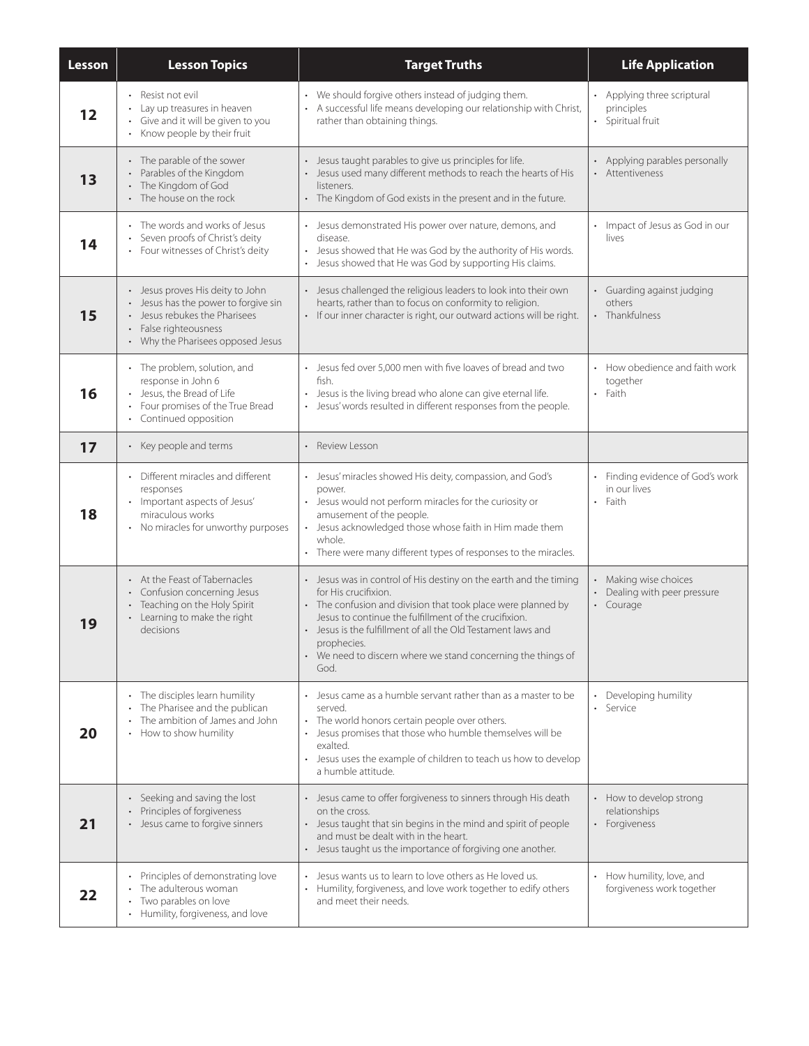| Lesson | <b>Lesson Topics</b>                                                                                                                                                             | <b>Target Truths</b>                                                                                                                                                                                                                                                                                                                                                    | <b>Life Application</b>                                                   |
|--------|----------------------------------------------------------------------------------------------------------------------------------------------------------------------------------|-------------------------------------------------------------------------------------------------------------------------------------------------------------------------------------------------------------------------------------------------------------------------------------------------------------------------------------------------------------------------|---------------------------------------------------------------------------|
| 12     | • Resist not evil<br>Lay up treasures in heaven<br>• Give and it will be given to you<br>• Know people by their fruit                                                            | • We should forgive others instead of judging them.<br>A successful life means developing our relationship with Christ,<br>rather than obtaining things.                                                                                                                                                                                                                | Applying three scriptural<br>$\bullet$<br>principles<br>• Spiritual fruit |
| 13     | • The parable of the sower<br>Parables of the Kingdom<br>The Kingdom of God<br>• The house on the rock                                                                           | · Jesus taught parables to give us principles for life.<br>• Jesus used many different methods to reach the hearts of His<br>listeners.<br>• The Kingdom of God exists in the present and in the future.                                                                                                                                                                | • Applying parables personally<br>• Attentiveness                         |
| 14     | • The words and works of Jesus<br>Seven proofs of Christ's deity<br>Four witnesses of Christ's deity                                                                             | • Jesus demonstrated His power over nature, demons, and<br>disease.<br>Jesus showed that He was God by the authority of His words.<br>• Jesus showed that He was God by supporting His claims.                                                                                                                                                                          | Impact of Jesus as God in our<br>lives                                    |
| 15     | • Jesus proves His deity to John<br>• Jesus has the power to forgive sin<br>Jesus rebukes the Pharisees<br>False righteousness<br>$\bullet$<br>• Why the Pharisees opposed Jesus | • Jesus challenged the religious leaders to look into their own<br>hearts, rather than to focus on conformity to religion.<br>· If our inner character is right, our outward actions will be right.                                                                                                                                                                     | Guarding against judging<br>others<br>• Thankfulness                      |
| 16     | • The problem, solution, and<br>response in John 6<br>Jesus, the Bread of Life<br>Four promises of the True Bread<br>$\bullet$<br>• Continued opposition                         | • Jesus fed over 5,000 men with five loaves of bread and two<br>fish.<br>Jesus is the living bread who alone can give eternal life.<br>Jesus' words resulted in different responses from the people.                                                                                                                                                                    | • How obedience and faith work<br>together<br>Faith<br>$\bullet$          |
| 17     | • Key people and terms                                                                                                                                                           | • Review Lesson                                                                                                                                                                                                                                                                                                                                                         |                                                                           |
| 18     | • Different miracles and different<br>responses<br>· Important aspects of Jesus'<br>miraculous works<br>• No miracles for unworthy purposes                                      | · Jesus' miracles showed His deity, compassion, and God's<br>power.<br>• Jesus would not perform miracles for the curiosity or<br>amusement of the people.<br>• Jesus acknowledged those whose faith in Him made them<br>whole.<br>• There were many different types of responses to the miracles.                                                                      | • Finding evidence of God's work<br>in our lives<br>• Faith               |
| 19     | • At the Feast of Tabernacles<br>• Confusion concerning Jesus<br>• Teaching on the Holy Spirit<br>• Learning to make the right<br>decisions                                      | • Jesus was in control of His destiny on the earth and the timing<br>for His crucifixion.<br>• The confusion and division that took place were planned by<br>Jesus to continue the fulfillment of the crucifixion.<br>• Jesus is the fulfillment of all the Old Testament laws and<br>prophecies.<br>We need to discern where we stand concerning the things of<br>God. | • Making wise choices<br>• Dealing with peer pressure<br>• Courage        |
| 20     | • The disciples learn humility<br>The Pharisee and the publican<br>The ambition of James and John<br>How to show humility                                                        | • Jesus came as a humble servant rather than as a master to be<br>served.<br>• The world honors certain people over others.<br>Jesus promises that those who humble themselves will be<br>exalted.<br>• Jesus uses the example of children to teach us how to develop<br>a humble attitude.                                                                             | • Developing humility<br>• Service                                        |
| 21     | • Seeking and saving the lost<br>• Principles of forgiveness<br>• Jesus came to forgive sinners                                                                                  | • Jesus came to offer forgiveness to sinners through His death<br>on the cross.<br>• Jesus taught that sin begins in the mind and spirit of people<br>and must be dealt with in the heart.<br>• Jesus taught us the importance of forgiving one another.                                                                                                                | • How to develop strong<br>relationships<br>• Forgiveness                 |
| 22     | Principles of demonstrating love<br>The adulterous woman<br>Two parables on love<br>Humility, forgiveness, and love<br>$\bullet$                                                 | Jesus wants us to learn to love others as He loved us.<br>Humility, forgiveness, and love work together to edify others<br>$\bullet$<br>and meet their needs.                                                                                                                                                                                                           | • How humility, love, and<br>forgiveness work together                    |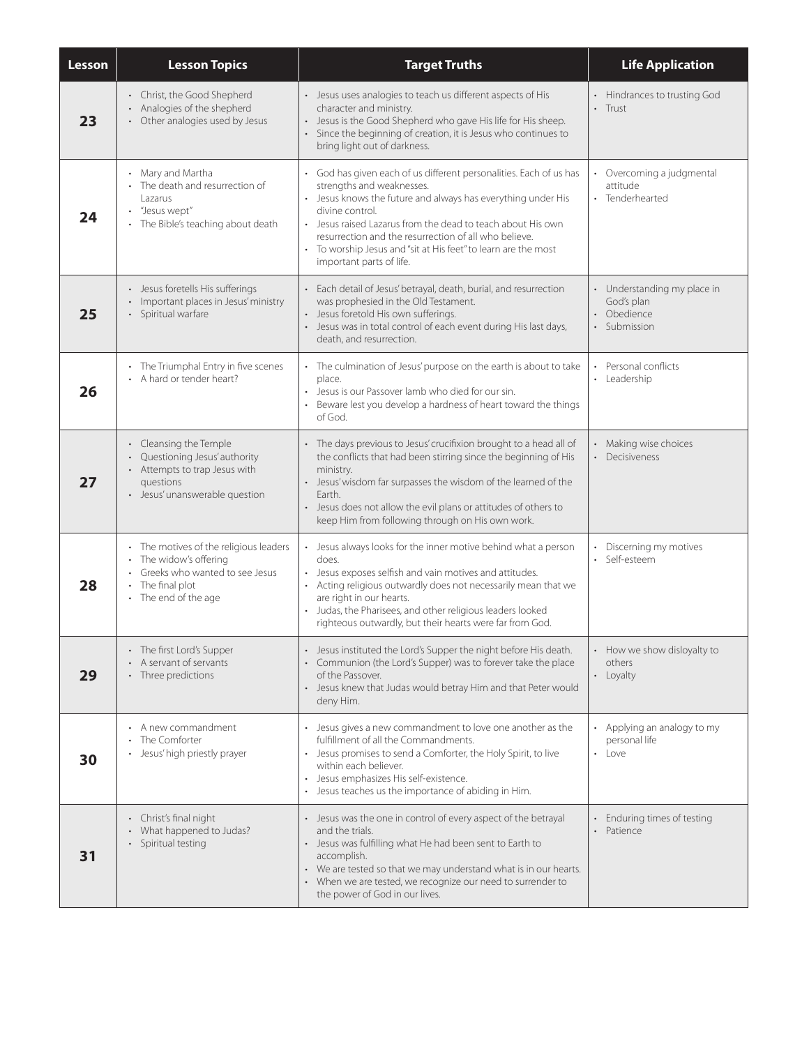| <b>Lesson</b> | <b>Lesson Topics</b>                                                                                                                           | <b>Target Truths</b>                                                                                                                                                                                                                                                                                                                                                                                     | <b>Life Application</b>                                                             |
|---------------|------------------------------------------------------------------------------------------------------------------------------------------------|----------------------------------------------------------------------------------------------------------------------------------------------------------------------------------------------------------------------------------------------------------------------------------------------------------------------------------------------------------------------------------------------------------|-------------------------------------------------------------------------------------|
| 23            | • Christ, the Good Shepherd<br>Analogies of the shepherd<br>Other analogies used by Jesus                                                      | • Jesus uses analogies to teach us different aspects of His<br>character and ministry.<br>• Jesus is the Good Shepherd who gave His life for His sheep.<br>· Since the beginning of creation, it is Jesus who continues to<br>bring light out of darkness.                                                                                                                                               | • Hindrances to trusting God<br>$\cdot$ Trust                                       |
| 24            | Mary and Martha<br>• The death and resurrection of<br>Lazarus<br>"Jesus wept"<br>The Bible's teaching about death                              | • God has given each of us different personalities. Each of us has<br>strengths and weaknesses.<br>• Jesus knows the future and always has everything under His<br>divine control.<br>· Jesus raised Lazarus from the dead to teach about His own<br>resurrection and the resurrection of all who believe.<br>• To worship Jesus and "sit at His feet" to learn are the most<br>important parts of life. | • Overcoming a judgmental<br>attitude<br>• Tenderhearted                            |
| 25            | · Jesus foretells His sufferings<br>• Important places in Jesus' ministry<br>Spiritual warfare                                                 | • Each detail of Jesus' betrayal, death, burial, and resurrection<br>was prophesied in the Old Testament.<br>• Jesus foretold His own sufferings.<br>· Jesus was in total control of each event during His last days,<br>death, and resurrection.                                                                                                                                                        | • Understanding my place in<br>God's plan<br>Obedience<br>$\bullet$<br>· Submission |
| 26            | • The Triumphal Entry in five scenes<br>A hard or tender heart?                                                                                | • The culmination of Jesus' purpose on the earth is about to take<br>place.<br>• Jesus is our Passover lamb who died for our sin.<br>• Beware lest you develop a hardness of heart toward the things<br>of God.                                                                                                                                                                                          | Personal conflicts<br>• Leadership                                                  |
| 27            | • Cleansing the Temple<br>Questioning Jesus' authority<br>• Attempts to trap Jesus with<br>questions<br>• Jesus' unanswerable question         | • The days previous to Jesus' crucifixion brought to a head all of<br>the conflicts that had been stirring since the beginning of His<br>ministry.<br>• Jesus' wisdom far surpasses the wisdom of the learned of the<br>Earth.<br>• Jesus does not allow the evil plans or attitudes of others to<br>keep Him from following through on His own work.                                                    | • Making wise choices<br>• Decisiveness                                             |
| 28            | • The motives of the religious leaders<br>The widow's offering<br>• Greeks who wanted to see Jesus<br>• The final plot<br>• The end of the age | • Jesus always looks for the inner motive behind what a person<br>does.<br>• Jesus exposes selfish and vain motives and attitudes.<br>• Acting religious outwardly does not necessarily mean that we<br>are right in our hearts.<br>Judas, the Pharisees, and other religious leaders looked<br>righteous outwardly, but their hearts were far from God.                                                 | Discerning my motives<br>Self-esteem                                                |
| 29            | • The first Lord's Supper<br>A servant of servants<br>• Three predictions                                                                      | • Jesus instituted the Lord's Supper the night before His death.<br>• Communion (the Lord's Supper) was to forever take the place<br>of the Passover.<br>• Jesus knew that Judas would betray Him and that Peter would<br>deny Him.                                                                                                                                                                      | • How we show disloyalty to<br>others<br>• Loyalty                                  |
| 30            | • A new commandment<br>The Comforter<br>Jesus' high priestly prayer                                                                            | • Jesus gives a new commandment to love one another as the<br>fulfillment of all the Commandments.<br>• Jesus promises to send a Comforter, the Holy Spirit, to live<br>within each believer.<br>· Jesus emphasizes His self-existence.<br>• Jesus teaches us the importance of abiding in Him.                                                                                                          | • Applying an analogy to my<br>personal life<br>• Love                              |
| 31            | • Christ's final night<br>• What happened to Judas?<br>Spiritual testing                                                                       | • Jesus was the one in control of every aspect of the betrayal<br>and the trials.<br>• Jesus was fulfilling what He had been sent to Earth to<br>accomplish.<br>We are tested so that we may understand what is in our hearts.<br>• When we are tested, we recognize our need to surrender to<br>the power of God in our lives.                                                                          | • Enduring times of testing<br>• Patience                                           |